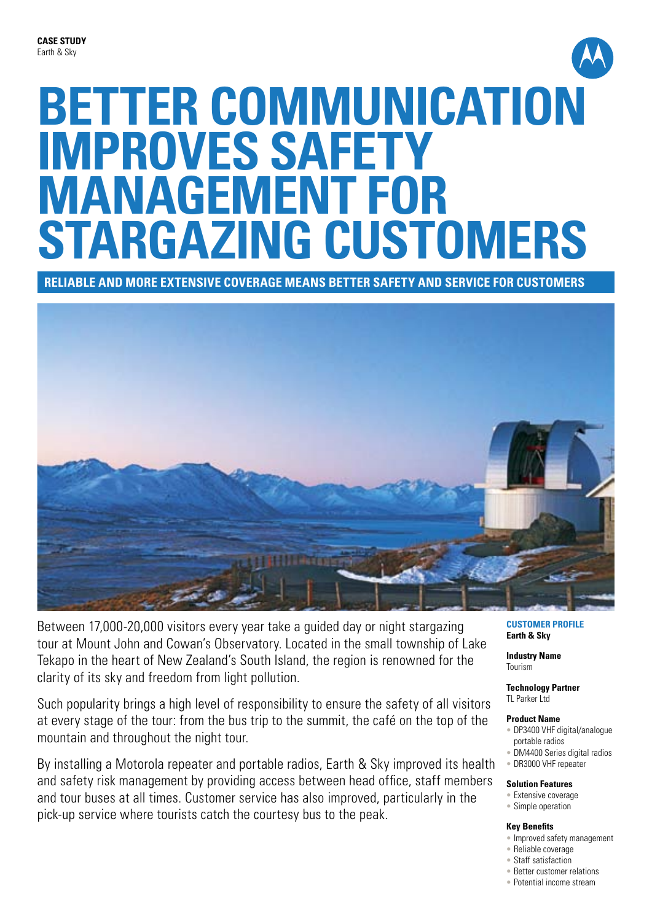# **BETTER COMMUNICATION improves SAFETY management for stargazing customers**

**Reliable and more extensive coverage means better safety and service for customers**



Between 17,000-20,000 visitors every year take a guided day or night stargazing tour at Mount John and Cowan's Observatory. Located in the small township of Lake Tekapo in the heart of New Zealand's South Island, the region is renowned for the clarity of its sky and freedom from light pollution.

Such popularity brings a high level of responsibility to ensure the safety of all visitors at every stage of the tour: from the bus trip to the summit, the café on the top of the mountain and throughout the night tour.

By installing a Motorola repeater and portable radios, Earth & Sky improved its health and safety risk management by providing access between head office, staff members and tour buses at all times. Customer service has also improved, particularly in the pick-up service where tourists catch the courtesy bus to the peak.

**Customer Profile Earth & Sky**

**Industry Name** Tourism

**Technology Partner** TL Parker Ltd

#### **Product Name**

- DP3400 VHF digital/analogue portable radios
- DM4400 Series digital radios
- DR3000 VHF repeater

#### **Solution Features**

- Extensive coverage
- Simple operation

#### **Key Benefits**

- Improved safety management
- Reliable coverage
- Staff satisfaction
- Better customer relations
- Potential income stream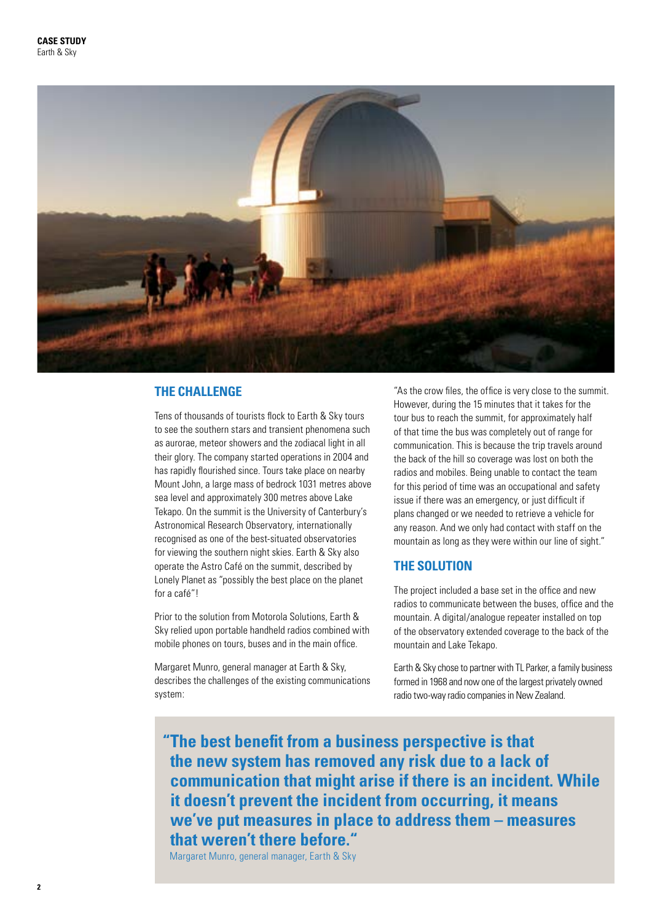

# **THE CHALLENGE**

Tens of thousands of tourists flock to Earth & Sky tours to see the southern stars and transient phenomena such as aurorae, meteor showers and the zodiacal light in all their glory. The company started operations in 2004 and has rapidly flourished since. Tours take place on nearby Mount John, a large mass of bedrock 1031 metres above sea level and approximately 300 metres above Lake Tekapo. On the summit is the University of Canterbury's Astronomical Research Observatory, internationally recognised as one of the best-situated observatories for viewing the southern night skies. Earth & Sky also operate the Astro Café on the summit, described by Lonely Planet as "possibly the best place on the planet for a café"!

Prior to the solution from Motorola Solutions, Earth & Sky relied upon portable handheld radios combined with mobile phones on tours, buses and in the main office.

Margaret Munro, general manager at Earth & Sky, describes the challenges of the existing communications system:

"As the crow files, the office is very close to the summit. However, during the 15 minutes that it takes for the tour bus to reach the summit, for approximately half of that time the bus was completely out of range for communication. This is because the trip travels around the back of the hill so coverage was lost on both the radios and mobiles. Being unable to contact the team for this period of time was an occupational and safety issue if there was an emergency, or just difficult if plans changed or we needed to retrieve a vehicle for any reason. And we only had contact with staff on the mountain as long as they were within our line of sight."

# **THE SOLUTION**

The project included a base set in the office and new radios to communicate between the buses, office and the mountain. A digital/analogue repeater installed on top of the observatory extended coverage to the back of the mountain and Lake Tekapo.

Earth & Sky chose to partner with TL Parker, a family business formed in 1968 and now one of the largest privately owned radio two-way radio companies in New Zealand.

**"The best benefit from a business perspective is that the new system has removed any risk due to a lack of communication that might arise if there is an incident. While it doesn't prevent the incident from occurring, it means we've put measures in place to address them – measures that weren't there before."**

Margaret Munro, general manager, Earth & Sky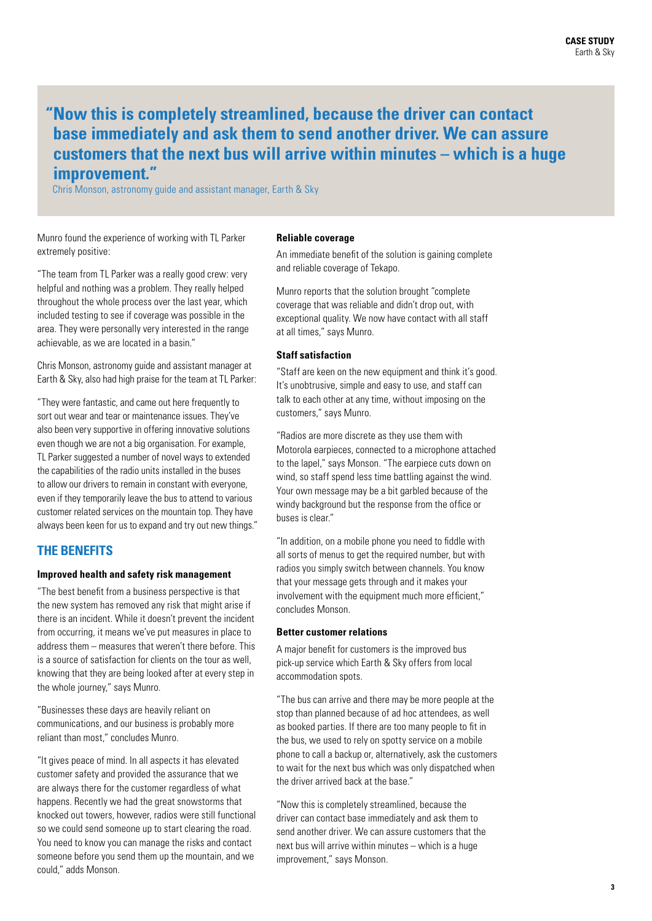# **" Now this is completely streamlined, because the driver can contact base immediately and ask them to send another driver. We can assure customers that the next bus will arrive within minutes – which is a huge improvement."**

Chris Monson, astronomy guide and assistant manager, Earth & Sky

Munro found the experience of working with TL Parker extremely positive:

"The team from TL Parker was a really good crew: very helpful and nothing was a problem. They really helped throughout the whole process over the last year, which included testing to see if coverage was possible in the area. They were personally very interested in the range achievable, as we are located in a basin."

Chris Monson, astronomy guide and assistant manager at Earth & Sky, also had high praise for the team at TL Parker:

"They were fantastic, and came out here frequently to sort out wear and tear or maintenance issues. They've also been very supportive in offering innovative solutions even though we are not a big organisation. For example, TL Parker suggested a number of novel ways to extended the capabilities of the radio units installed in the buses to allow our drivers to remain in constant with everyone, even if they temporarily leave the bus to attend to various customer related services on the mountain top. They have always been keen for us to expand and try out new things."

# **THE BENEFITS**

#### **Improved health and safety risk management**

"The best benefit from a business perspective is that the new system has removed any risk that might arise if there is an incident. While it doesn't prevent the incident from occurring, it means we've put measures in place to address them – measures that weren't there before. This is a source of satisfaction for clients on the tour as well, knowing that they are being looked after at every step in the whole journey," says Munro.

"Businesses these days are heavily reliant on communications, and our business is probably more reliant than most," concludes Munro.

"It gives peace of mind. In all aspects it has elevated customer safety and provided the assurance that we are always there for the customer regardless of what happens. Recently we had the great snowstorms that knocked out towers, however, radios were still functional so we could send someone up to start clearing the road. You need to know you can manage the risks and contact someone before you send them up the mountain, and we could," adds Monson.

#### **Reliable coverage**

An immediate benefit of the solution is gaining complete and reliable coverage of Tekapo.

Munro reports that the solution brought "complete coverage that was reliable and didn't drop out, with exceptional quality. We now have contact with all staff at all times," says Munro.

# **Staff satisfaction**

"Staff are keen on the new equipment and think it's good. It's unobtrusive, simple and easy to use, and staff can talk to each other at any time, without imposing on the customers," says Munro.

"Radios are more discrete as they use them with Motorola earpieces, connected to a microphone attached to the lapel," says Monson. "The earpiece cuts down on wind, so staff spend less time battling against the wind. Your own message may be a bit garbled because of the windy background but the response from the office or buses is clear."

"In addition, on a mobile phone you need to fiddle with all sorts of menus to get the required number, but with radios you simply switch between channels. You know that your message gets through and it makes your involvement with the equipment much more efficient." concludes Monson.

## **Better customer relations**

A major benefit for customers is the improved bus pick-up service which Earth & Sky offers from local accommodation spots.

"The bus can arrive and there may be more people at the stop than planned because of ad hoc attendees, as well as booked parties. If there are too many people to fit in the bus, we used to rely on spotty service on a mobile phone to call a backup or, alternatively, ask the customers to wait for the next bus which was only dispatched when the driver arrived back at the base."

"Now this is completely streamlined, because the driver can contact base immediately and ask them to send another driver. We can assure customers that the next bus will arrive within minutes – which is a huge improvement," says Monson.